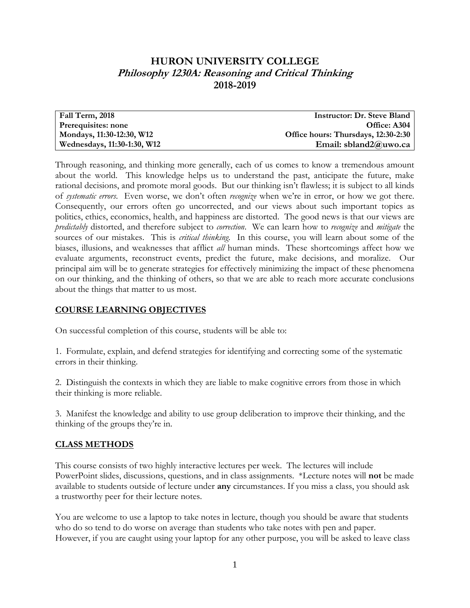## **HURON UNIVERSITY COLLEGE Philosophy 1230A: Reasoning and Critical Thinking 2018-2019**

| Fall Term, 2018             | <b>Instructor: Dr. Steve Bland</b>  |
|-----------------------------|-------------------------------------|
| Prerequisites: none         | Office: A304                        |
| Mondays, 11:30-12:30, W12   | Office hours: Thursdays, 12:30-2:30 |
| Wednesdays, 11:30-1:30, W12 | Email: sbland2@uwo.ca               |

Through reasoning, and thinking more generally, each of us comes to know a tremendous amount about the world. This knowledge helps us to understand the past, anticipate the future, make rational decisions, and promote moral goods. But our thinking isn't flawless; it is subject to all kinds of *systematic errors*. Even worse, we don't often *recognize* when we're in error, or how we got there. Consequently, our errors often go uncorrected, and our views about such important topics as politics, ethics, economics, health, and happiness are distorted. The good news is that our views are *predictably* distorted, and therefore subject to *correction*. We can learn how to *recognize* and *mitigate* the sources of our mistakes. This is *critical thinking*. In this course, you will learn about some of the biases, illusions, and weaknesses that afflict *all* human minds. These shortcomings affect how we evaluate arguments, reconstruct events, predict the future, make decisions, and moralize. Our principal aim will be to generate strategies for effectively minimizing the impact of these phenomena on our thinking, and the thinking of others, so that we are able to reach more accurate conclusions about the things that matter to us most.

### **COURSE LEARNING OBJECTIVES**

On successful completion of this course, students will be able to:

1. Formulate, explain, and defend strategies for identifying and correcting some of the systematic errors in their thinking.

2. Distinguish the contexts in which they are liable to make cognitive errors from those in which their thinking is more reliable.

3. Manifest the knowledge and ability to use group deliberation to improve their thinking, and the thinking of the groups they're in.

### **CLASS METHODS**

This course consists of two highly interactive lectures per week. The lectures will include PowerPoint slides, discussions, questions, and in class assignments. \*Lecture notes will **not** be made available to students outside of lecture under **any** circumstances. If you miss a class, you should ask a trustworthy peer for their lecture notes.

You are welcome to use a laptop to take notes in lecture, though you should be aware that students who do so tend to do worse on average than students who take notes with pen and paper. However, if you are caught using your laptop for any other purpose, you will be asked to leave class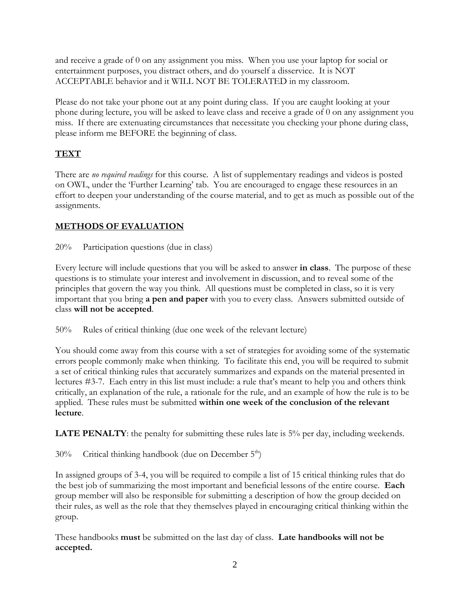and receive a grade of 0 on any assignment you miss. When you use your laptop for social or entertainment purposes, you distract others, and do yourself a disservice. It is NOT ACCEPTABLE behavior and it WILL NOT BE TOLERATED in my classroom.

Please do not take your phone out at any point during class. If you are caught looking at your phone during lecture, you will be asked to leave class and receive a grade of 0 on any assignment you miss. If there are extenuating circumstances that necessitate you checking your phone during class, please inform me BEFORE the beginning of class.

# **TEXT**

There are *no required readings* for this course. A list of supplementary readings and videos is posted on OWL, under the 'Further Learning' tab. You are encouraged to engage these resources in an effort to deepen your understanding of the course material, and to get as much as possible out of the assignments.

## **METHODS OF EVALUATION**

20% Participation questions (due in class)

Every lecture will include questions that you will be asked to answer **in class**. The purpose of these questions is to stimulate your interest and involvement in discussion, and to reveal some of the principles that govern the way you think. All questions must be completed in class, so it is very important that you bring **a pen and paper** with you to every class. Answers submitted outside of class **will not be accepted**.

50% Rules of critical thinking (due one week of the relevant lecture)

You should come away from this course with a set of strategies for avoiding some of the systematic errors people commonly make when thinking. To facilitate this end, you will be required to submit a set of critical thinking rules that accurately summarizes and expands on the material presented in lectures #3-7. Each entry in this list must include: a rule that's meant to help you and others think critically, an explanation of the rule, a rationale for the rule, and an example of how the rule is to be applied. These rules must be submitted **within one week of the conclusion of the relevant lecture**.

**LATE PENALTY:** the penalty for submitting these rules late is 5% per day, including weekends.

 $30\%$  Critical thinking handbook (due on December  $5<sup>th</sup>$ )

In assigned groups of 3-4, you will be required to compile a list of 15 critical thinking rules that do the best job of summarizing the most important and beneficial lessons of the entire course. **Each** group member will also be responsible for submitting a description of how the group decided on their rules, as well as the role that they themselves played in encouraging critical thinking within the group.

These handbooks **must** be submitted on the last day of class. **Late handbooks will not be accepted.**